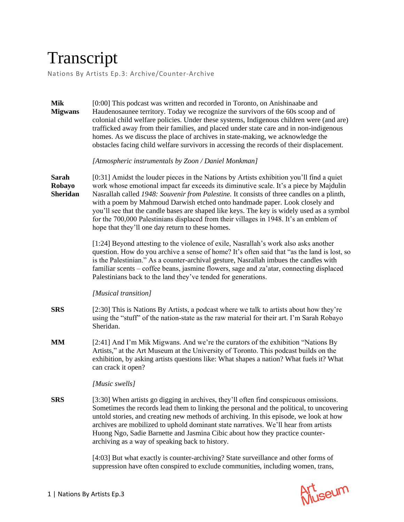## Transcript

Nations By Artists Ep.3: Archive/Counter-Archive

| <b>Mik</b><br><b>Migwans</b>              | [0:00] This podcast was written and recorded in Toronto, on Anishinaabe and<br>Haudenosaunee territory. Today we recognize the survivors of the 60s scoop and of<br>colonial child welfare policies. Under these systems, Indigenous children were (and are)<br>trafficked away from their families, and placed under state care and in non-indigenous<br>homes. As we discuss the place of archives in state-making, we acknowledge the<br>obstacles facing child welfare survivors in accessing the records of their displacement.                                                                     |
|-------------------------------------------|----------------------------------------------------------------------------------------------------------------------------------------------------------------------------------------------------------------------------------------------------------------------------------------------------------------------------------------------------------------------------------------------------------------------------------------------------------------------------------------------------------------------------------------------------------------------------------------------------------|
|                                           | [Atmospheric instrumentals by Zoon / Daniel Monkman]                                                                                                                                                                                                                                                                                                                                                                                                                                                                                                                                                     |
| <b>Sarah</b><br>Robayo<br><b>Sheridan</b> | [0:31] Amidst the louder pieces in the Nations by Artists exhibition you'll find a quiet<br>work whose emotional impact far exceeds its diminutive scale. It's a piece by Majdulin<br>Nasrallah called 1948: Souvenir from Palestine. It consists of three candles on a plinth,<br>with a poem by Mahmoud Darwish etched onto handmade paper. Look closely and<br>you'll see that the candle bases are shaped like keys. The key is widely used as a symbol<br>for the 700,000 Palestinians displaced from their villages in 1948. It's an emblem of<br>hope that they'll one day return to these homes. |
|                                           | [1:24] Beyond attesting to the violence of exile, Nasrallah's work also asks another<br>question. How do you archive a sense of home? It's often said that "as the land is lost, so<br>is the Palestinian." As a counter-archival gesture, Nasrallah imbues the candles with<br>familiar scents - coffee beans, jasmine flowers, sage and za'atar, connecting displaced<br>Palestinians back to the land they've tended for generations.                                                                                                                                                                 |
|                                           | [Musical transition]                                                                                                                                                                                                                                                                                                                                                                                                                                                                                                                                                                                     |
| <b>SRS</b>                                | [2:30] This is Nations By Artists, a podcast where we talk to artists about how they're<br>using the "stuff" of the nation-state as the raw material for their art. I'm Sarah Robayo<br>Sheridan.                                                                                                                                                                                                                                                                                                                                                                                                        |
| MM                                        | [2:41] And I'm Mik Migwans. And we're the curators of the exhibition "Nations By<br>Artists," at the Art Museum at the University of Toronto. This podcast builds on the<br>exhibition, by asking artists questions like: What shapes a nation? What fuels it? What<br>can crack it open?                                                                                                                                                                                                                                                                                                                |
|                                           | [Music swells]                                                                                                                                                                                                                                                                                                                                                                                                                                                                                                                                                                                           |
| <b>SRS</b>                                | [3:30] When artists go digging in archives, they'll often find conspicuous omissions.<br>Sometimes the records lead them to linking the personal and the political, to uncovering<br>untold stories, and creating new methods of archiving. In this episode, we look at how<br>archives are mobilized to uphold dominant state narratives. We'll hear from artists<br>Huong Ngo, Sadie Barnette and Jasmina Cibic about how they practice counter-<br>archiving as a way of speaking back to history.                                                                                                    |
|                                           | [4:03] But what exactly is counter-archiving? State surveillance and other forms of<br>suppression have often conspired to exclude communities, including women, trans,                                                                                                                                                                                                                                                                                                                                                                                                                                  |

Art<br>Museum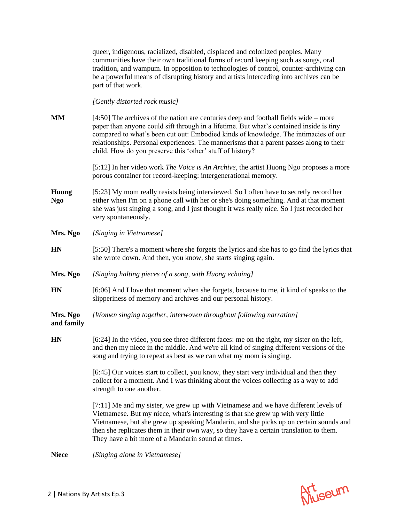queer, indigenous, racialized, disabled, displaced and colonized peoples. Many communities have their own traditional forms of record keeping such as songs, oral tradition, and wampum. In opposition to technologies of control, counter-archiving can be a powerful means of disrupting history and artists interceding into archives can be part of that work. *[Gently distorted rock music]* **MM** [4:50] The archives of the nation are centuries deep and football fields wide – more paper than anyone could sift through in a lifetime. But what's contained inside is tiny compared to what's been cut out: Embodied kinds of knowledge. The intimacies of our relationships. Personal experiences. The mannerisms that a parent passes along to their child. How do you preserve this 'other' stuff of history? [5:12] In her video work *The Voice is An Archive,* the artist Huong Ngo proposes a more porous container for record-keeping: intergenerational memory. **Huong Ngo** [5:23] My mom really resists being interviewed. So I often have to secretly record her either when I'm on a phone call with her or she's doing something. And at that moment she was just singing a song, and I just thought it was really nice. So I just recorded her very spontaneously. **Mrs. Ngo** *[Singing in Vietnamese]* **HN** [5:50] There's a moment where she forgets the lyrics and she has to go find the lyrics that she wrote down. And then, you know, she starts singing again. **Mrs. Ngo** *[Singing halting pieces of a song, with Huong echoing]* **HN** [6:06] And I love that moment when she forgets, because to me, it kind of speaks to the slipperiness of memory and archives and our personal history. **Mrs. Ngo and family** *[Women singing together, interwoven throughout following narration]* **HN** [6:24] In the video, you see three different faces: me on the right, my sister on the left, and then my niece in the middle. And we're all kind of singing different versions of the song and trying to repeat as best as we can what my mom is singing. [6:45] Our voices start to collect, you know, they start very individual and then they collect for a moment. And I was thinking about the voices collecting as a way to add strength to one another. [7:11] Me and my sister, we grew up with Vietnamese and we have different levels of Vietnamese. But my niece, what's interesting is that she grew up with very little Vietnamese, but she grew up speaking Mandarin, and she picks up on certain sounds and then she replicates them in their own way, so they have a certain translation to them. They have a bit more of a Mandarin sound at times.

**Niece** *[Singing alone in Vietnamese]*

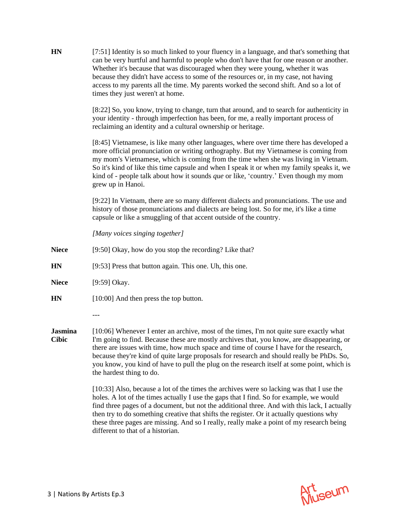| <b>HN</b>                      | [7:51] Identity is so much linked to your fluency in a language, and that's something that<br>can be very hurtful and harmful to people who don't have that for one reason or another.<br>Whether it's because that was discouraged when they were young, whether it was<br>because they didn't have access to some of the resources or, in my case, not having<br>access to my parents all the time. My parents worked the second shift. And so a lot of<br>times they just weren't at home.                    |
|--------------------------------|------------------------------------------------------------------------------------------------------------------------------------------------------------------------------------------------------------------------------------------------------------------------------------------------------------------------------------------------------------------------------------------------------------------------------------------------------------------------------------------------------------------|
|                                | [8:22] So, you know, trying to change, turn that around, and to search for authenticity in<br>your identity - through imperfection has been, for me, a really important process of<br>reclaiming an identity and a cultural ownership or heritage.                                                                                                                                                                                                                                                               |
|                                | [8:45] Vietnamese, is like many other languages, where over time there has developed a<br>more official pronunciation or writing orthography. But my Vietnamese is coming from<br>my mom's Vietnamese, which is coming from the time when she was living in Vietnam.<br>So it's kind of like this time capsule and when I speak it or when my family speaks it, we<br>kind of - people talk about how it sounds <i>que</i> or like, 'country.' Even though my mom<br>grew up in Hanoi.                           |
|                                | [9:22] In Vietnam, there are so many different dialects and pronunciations. The use and<br>history of those pronunciations and dialects are being lost. So for me, it's like a time<br>capsule or like a smuggling of that accent outside of the country.                                                                                                                                                                                                                                                        |
|                                | [Many voices singing together]                                                                                                                                                                                                                                                                                                                                                                                                                                                                                   |
| <b>Niece</b>                   | [9:50] Okay, how do you stop the recording? Like that?                                                                                                                                                                                                                                                                                                                                                                                                                                                           |
| HN                             | [9:53] Press that button again. This one. Uh, this one.                                                                                                                                                                                                                                                                                                                                                                                                                                                          |
| <b>Niece</b>                   | [9:59] Okay.                                                                                                                                                                                                                                                                                                                                                                                                                                                                                                     |
| <b>HN</b>                      | [10:00] And then press the top button.                                                                                                                                                                                                                                                                                                                                                                                                                                                                           |
|                                | ---                                                                                                                                                                                                                                                                                                                                                                                                                                                                                                              |
| <b>Jasmina</b><br><b>Cibic</b> | [10:06] Whenever I enter an archive, most of the times, I'm not quite sure exactly what<br>I'm going to find. Because these are mostly archives that, you know, are disappearing, or<br>there are issues with time, how much space and time of course I have for the research,<br>because they're kind of quite large proposals for research and should really be PhDs. So,<br>you know, you kind of have to pull the plug on the research itself at some point, which is<br>the hardest thing to do.            |
|                                | [10:33] Also, because a lot of the times the archives were so lacking was that I use the<br>holes. A lot of the times actually I use the gaps that I find. So for example, we would<br>find three pages of a document, but not the additional three. And with this lack, I actually<br>then try to do something creative that shifts the register. Or it actually questions why<br>these three pages are missing. And so I really, really make a point of my research being<br>different to that of a historian. |

Art<br>Museum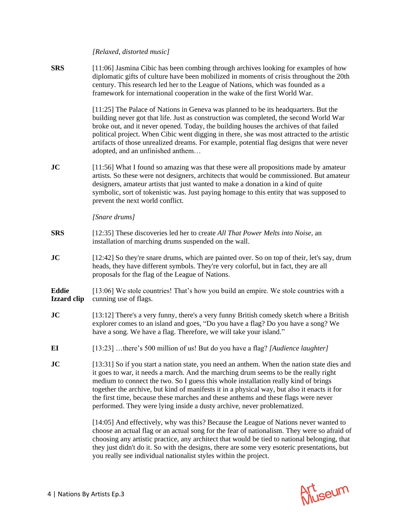*[Relaxed, distorted music]*

**SRS** [11:06] Jasmina Cibic has been combing through archives looking for examples of how diplomatic gifts of culture have been mobilized in moments of crisis throughout the 20th century. This research led her to the League of Nations, which was founded as a framework for international cooperation in the wake of the first World War.

> [11:25] The Palace of Nations in Geneva was planned to be its headquarters. But the building never got that life. Just as construction was completed, the second World War broke out, and it never opened. Today, the building houses the archives of that failed political project. When Cibic went digging in there, she was most attracted to the artistic artifacts of those unrealized dreams. For example, potential flag designs that were never adopted, and an unfinished anthem…

**JC** [11:56] What I found so amazing was that these were all propositions made by amateur artists. So these were not designers, architects that would be commissioned. But amateur designers, amateur artists that just wanted to make a donation in a kind of quite symbolic, sort of tokenistic was. Just paying homage to this entity that was supposed to prevent the next world conflict.

*[Snare drums]*

- **SRS** [12:35] These discoveries led her to create *All That Power Melts into Noise,* an installation of marching drums suspended on the wall.
- **JC** [12:42] So they're snare drums, which are painted over. So on top of their, let's say, drum heads, they have different symbols. They're very colorful, but in fact, they are all proposals for the flag of the League of Nations.

**Eddie Izzard clip** [13:06] We stole countries! That's how you build an empire. We stole countries with a cunning use of flags.

- **JC** [13:12] There's a very funny, there's a very funny British comedy sketch where a British explorer comes to an island and goes, "Do you have a flag? Do you have a song? We have a song. We have a flag. Therefore, we will take your island."
- **EI** [13:23] …there's 500 million of us! But do you have a flag? *[Audience laughter]*
- **JC** [13:31] So if you start a nation state, you need an anthem. When the nation state dies and it goes to war, it needs a march. And the marching drum seems to be the really right medium to connect the two. So I guess this whole installation really kind of brings together the archive, but kind of manifests it in a physical way, but also it enacts it for the first time, because these marches and these anthems and these flags were never performed. They were lying inside a dusty archive, never problematized.

[14:05] And effectively, why was this? Because the League of Nations never wanted to choose an actual flag or an actual song for the fear of nationalism. They were so afraid of choosing any artistic practice, any architect that would be tied to national belonging, that they just didn't do it. So with the designs, there are some very esoteric presentations, but you really see individual nationalist styles within the project.

Art seum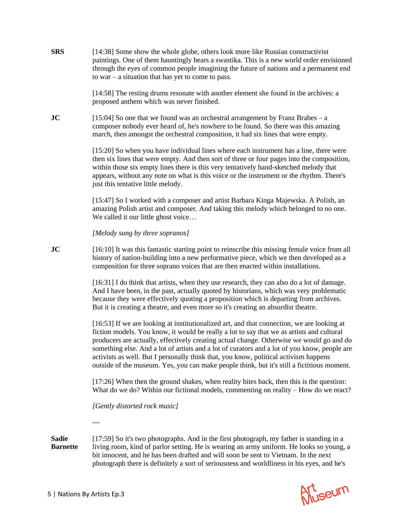**SRS** [14:38] Some show the whole globe, others look more like Russian constructivist paintings. One of them hauntingly bears a swastika. This is a new world order envisioned through the eyes of common people imagining the future of nations and a permanent end to war – a situation that has yet to come to pass.

> [14:58] The resting drums resonate with another element she found in the archives: a proposed anthem which was never finished.

**JC** [15:04] So one that we found was an orchestral arrangement by Franz Brabes – a composer nobody ever heard of, he's nowhere to be found. So there was this amazing march, then amongst the orchestral composition, it had six lines that were empty.

> [15:20] So when you have individual lines where each instrument has a line, there were then six lines that were empty. And then sort of three or four pages into the composition, within those six empty lines there is this very tentatively hand-sketched melody that appears, without any note on what is this voice or the instrument or the rhythm. There's just this tentative little melody.

[15:47] So I worked with a composer and artist Barbara Kinga Majewska. A Polish, an amazing Polish artist and composer. And taking this melody which belonged to no one. We called it our little ghost voice...

*[Melody sung by three sopranos]*

**JC** [16:10] It was this fantastic starting point to reinscribe this missing female voice from all history of nation-building into a new performative piece, which we then developed as a composition for three soprano voices that are then enacted within installations.

> [16:31] I do think that artists, when they use research, they can also do a lot of damage. And I have been, in the past, actually quoted by historians, which was very problematic because they were effectively quoting a proposition which is departing from archives. But it is creating a theatre, and even more so it's creating an absurdist theatre.

[16:53] If we are looking at institutionalized art, and that connection, we are looking at fiction models. You know, it would be really a lot to say that we as artists and cultural producers are actually, effectively creating actual change. Otherwise we would go and do something else. And a lot of artists and a lot of curators and a lot of you know, people are activists as well. But I personally think that, you know, political activism happens outside of the museum. Yes, you can make people think, but it's still a fictitious moment.

[17:26] When then the ground shakes, when reality bites back, then this is the question: What do we do? Within our fictional models, commenting on reality – How do we react?

*[Gently distorted rock music]*

*---*

**Sadie Barnette** [17:59] So it's two photographs. And in the first photograph, my father is standing in a living room, kind of parlor setting. He is wearing an army uniform. He looks so young, a bit innocent, and he has been drafted and will soon be sent to Vietnam. In the next photograph there is definitely a sort of seriousness and worldliness in his eyes, and he's

Art<br>Museum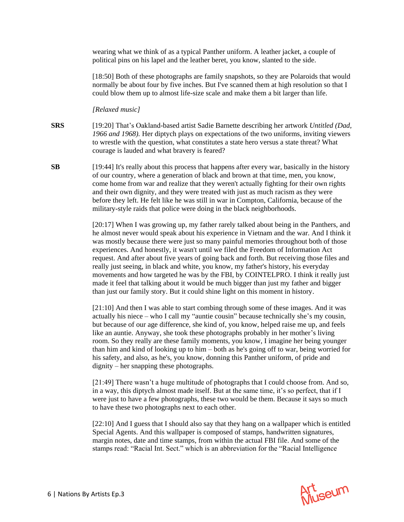wearing what we think of as a typical Panther uniform. A leather jacket, a couple of political pins on his lapel and the leather beret, you know, slanted to the side.

[18:50] Both of these photographs are family snapshots, so they are Polaroids that would normally be about four by five inches. But I've scanned them at high resolution so that I could blow them up to almost life-size scale and make them a bit larger than life.

*[Relaxed music]*

- **SRS** [19:20] That's Oakland-based artist Sadie Barnette describing her artwork *Untitled (Dad, 1966 and 1968).* Her diptych plays on expectations of the two uniforms, inviting viewers to wrestle with the question, what constitutes a state hero versus a state threat? What courage is lauded and what bravery is feared?
- **SB** [19:44] It's really about this process that happens after every war, basically in the history of our country, where a generation of black and brown at that time, men, you know, come home from war and realize that they weren't actually fighting for their own rights and their own dignity, and they were treated with just as much racism as they were before they left. He felt like he was still in war in Compton, California, because of the military-style raids that police were doing in the black neighborhoods.

[20:17] When I was growing up, my father rarely talked about being in the Panthers, and he almost never would speak about his experience in Vietnam and the war. And I think it was mostly because there were just so many painful memories throughout both of those experiences. And honestly, it wasn't until we filed the Freedom of Information Act request. And after about five years of going back and forth. But receiving those files and really just seeing, in black and white, you know, my father's history, his everyday movements and how targeted he was by the FBI, by COINTELPRO. I think it really just made it feel that talking about it would be much bigger than just my father and bigger than just our family story. But it could shine light on this moment in history.

[21:10] And then I was able to start combing through some of these images. And it was actually his niece – who I call my "auntie cousin" because technically she's my cousin, but because of our age difference, she kind of, you know, helped raise me up, and feels like an auntie. Anyway, she took these photographs probably in her mother's living room. So they really are these family moments, you know, I imagine her being younger than him and kind of looking up to him – both as he's going off to war, being worried for his safety, and also, as he's, you know, donning this Panther uniform, of pride and dignity – her snapping these photographs.

[21:49] There wasn't a huge multitude of photographs that I could choose from. And so, in a way, this diptych almost made itself. But at the same time, it's so perfect, that if I were just to have a few photographs, these two would be them. Because it says so much to have these two photographs next to each other.

[22:10] And I guess that I should also say that they hang on a wallpaper which is entitled Special Agents. And this wallpaper is composed of stamps, handwritten signatures, margin notes, date and time stamps, from within the actual FBI file. And some of the stamps read: "Racial Int. Sect." which is an abbreviation for the "Racial Intelligence

Art<br>Museum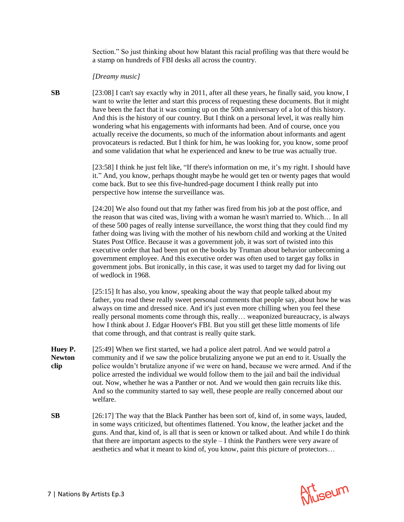Section." So just thinking about how blatant this racial profiling was that there would be a stamp on hundreds of FBI desks all across the country.

*[Dreamy music]*

**SB** [23:08] I can't say exactly why in 2011, after all these years, he finally said, you know, I want to write the letter and start this process of requesting these documents. But it might have been the fact that it was coming up on the 50th anniversary of a lot of this history. And this is the history of our country. But I think on a personal level, it was really him wondering what his engagements with informants had been. And of course, once you actually receive the documents, so much of the information about informants and agent provocateurs is redacted. But I think for him, he was looking for, you know, some proof and some validation that what he experienced and knew to be true was actually true.

> [23:58] I think he just felt like, "If there's information on me, it's my right. I should have it." And, you know, perhaps thought maybe he would get ten or twenty pages that would come back. But to see this five-hundred-page document I think really put into perspective how intense the surveillance was.

> [24:20] We also found out that my father was fired from his job at the post office, and the reason that was cited was, living with a woman he wasn't married to. Which… In all of these 500 pages of really intense surveillance, the worst thing that they could find my father doing was living with the mother of his newborn child and working at the United States Post Office. Because it was a government job, it was sort of twisted into this executive order that had been put on the books by Truman about behavior unbecoming a government employee. And this executive order was often used to target gay folks in government jobs. But ironically, in this case, it was used to target my dad for living out of wedlock in 1968.

> [25:15] It has also, you know, speaking about the way that people talked about my father, you read these really sweet personal comments that people say, about how he was always on time and dressed nice. And it's just even more chilling when you feel these really personal moments come through this, really… weaponized bureaucracy, is always how I think about J. Edgar Hoover's FBI. But you still get these little moments of life that come through, and that contrast is really quite stark.

- **Huey P. Newton clip** [25:49] When we first started, we had a police alert patrol. And we would patrol a community and if we saw the police brutalizing anyone we put an end to it. Usually the police wouldn't brutalize anyone if we were on hand, because we were armed. And if the police arrested the individual we would follow them to the jail and bail the individual out. Now, whether he was a Panther or not. And we would then gain recruits like this. And so the community started to say well, these people are really concerned about our welfare.
- **SB** [26:17] The way that the Black Panther has been sort of, kind of, in some ways, lauded, in some ways criticized, but oftentimes flattened. You know, the leather jacket and the guns. And that, kind of, is all that is seen or known or talked about. And while I do think that there are important aspects to the style – I think the Panthers were very aware of aesthetics and what it meant to kind of, you know, paint this picture of protectors…

Art<br>Museum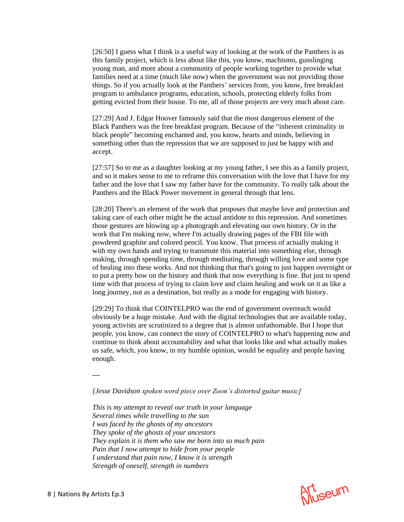[26:50] I guess what I think is a useful way of looking at the work of the Panthers is as this family project, which is less about like this, you know, machismo, gunslinging young man, and more about a community of people working together to provide what families need at a time (much like now) when the government was not providing those things. So if you actually look at the Panthers' services from, you know, free breakfast program to ambulance programs, education, schools, protecting elderly folks from getting evicted from their house. To me, all of those projects are very much about care.

[27:29] And J. Edgar Hoover famously said that the most dangerous element of the Black Panthers was the free breakfast program. Because of the "inherent criminality in black people" becoming enchanted and, you know, hearts and minds, believing in something other than the repression that we are supposed to just be happy with and accept.

[27:57] So to me as a daughter looking at my young father, I see this as a family project, and so it makes sense to me to reframe this conversation with the love that I have for my father and the love that I saw my father have for the community. To really talk about the Panthers and the Black Power movement in general through that lens.

[28:20] There's an element of the work that proposes that maybe love and protection and taking care of each other might be the actual antidote to this repression. And sometimes those gestures are blowing up a photograph and elevating our own history. Or in the work that I'm making now, where I'm actually drawing pages of the FBI file with powdered graphite and colored pencil. You know. That process of actually making it with my own hands and trying to transmute this material into something else, through making, through spending time, through meditating, through willing love and some type of healing into these works. And not thinking that that's going to just happen overnight or to put a pretty bow on the history and think that now everything is fine. But just to spend time with that process of trying to claim love and claim healing and work on it as like a long journey, not as a destination, but really as a mode for engaging with history.

[29:29] To think that COINTELPRO was the end of government overreach would obviously be a huge mistake. And with the digital technologies that are available today, young activists are scrutinized to a degree that is almost unfathomable. But I hope that people, you know, can connect the story of COINTELPRO to what's happening now and continue to think about accountability and what that looks like and what actually makes us safe, which, you know, in my humble opinion, would be equality and people having enough.

*---*

*[Jesse Davidson spoken word piece over Zoon's distorted guitar music]*

*This is my attempt to reveal our truth in your language Several times while travelling to the sun I was faced by the ghosts of my ancestors They spoke of the ghosts of your ancestors They explain it is them who saw me born into so much pain Pain that I now attempt to hide from your people I understand that pain now, I know it is strength Strength of oneself, strength in numbers*

Art<br>Museum